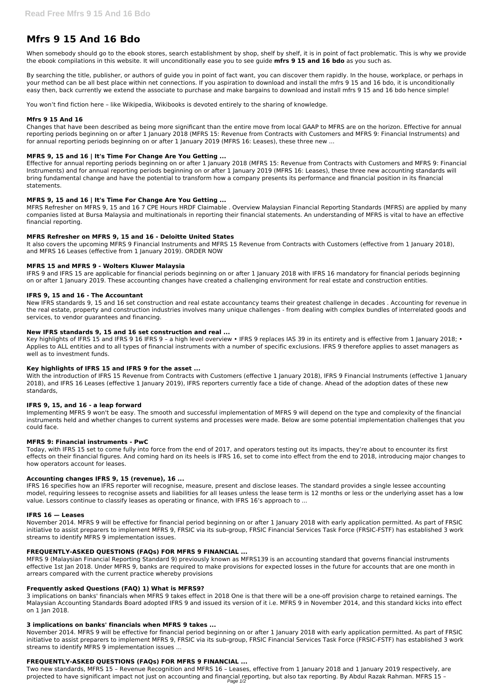# **Mfrs 9 15 And 16 Bdo**

When somebody should go to the ebook stores, search establishment by shop, shelf by shelf, it is in point of fact problematic. This is why we provide the ebook compilations in this website. It will unconditionally ease you to see guide **mfrs 9 15 and 16 bdo** as you such as.

By searching the title, publisher, or authors of guide you in point of fact want, you can discover them rapidly. In the house, workplace, or perhaps in your method can be all best place within net connections. If you aspiration to download and install the mfrs 9 15 and 16 bdo, it is unconditionally easy then, back currently we extend the associate to purchase and make bargains to download and install mfrs 9 15 and 16 bdo hence simple!

You won't find fiction here – like Wikipedia, Wikibooks is devoted entirely to the sharing of knowledge.

# **Mfrs 9 15 And 16**

Changes that have been described as being more significant than the entire move from local GAAP to MFRS are on the horizon. Effective for annual reporting periods beginning on or after 1 January 2018 (MFRS 15: Revenue from Contracts with Customers and MFRS 9: Financial Instruments) and for annual reporting periods beginning on or after 1 January 2019 (MFRS 16: Leases), these three new ...

# **MFRS 9, 15 and 16 | It's Time For Change Are You Getting ...**

Effective for annual reporting periods beginning on or after 1 January 2018 (MFRS 15: Revenue from Contracts with Customers and MFRS 9: Financial Instruments) and for annual reporting periods beginning on or after 1 January 2019 (MFRS 16: Leases), these three new accounting standards will bring fundamental change and have the potential to transform how a company presents its performance and financial position in its financial statements.

Key highlights of IFRS 15 and IFRS 9 16 IFRS 9 - a high level overview • IFRS 9 replaces IAS 39 in its entirety and is effective from 1 January 2018; • Applies to ALL entities and to all types of financial instruments with a number of specific exclusions. IFRS 9 therefore applies to asset managers as well as to investment funds.

#### **MFRS 9, 15 and 16 | It's Time For Change Are You Getting ...**

MFRS Refresher on MFRS 9, 15 and 16 7 CPE Hours HRDF Claimable . Overview Malaysian Financial Reporting Standards (MFRS) are applied by many companies listed at Bursa Malaysia and multinationals in reporting their financial statements. An understanding of MFRS is vital to have an effective financial reporting.

# **MFRS Refresher on MFRS 9, 15 and 16 - Deloitte United States**

It also covers the upcoming MFRS 9 Financial Instruments and MFRS 15 Revenue from Contracts with Customers (effective from 1 January 2018), and MFRS 16 Leases (effective from 1 January 2019). ORDER NOW

#### **MFRS 15 and MFRS 9 - Wolters Kluwer Malaysia**

IFRS 9 and IFRS 15 are applicable for financial periods beginning on or after 1 January 2018 with IFRS 16 mandatory for financial periods beginning on or after 1 January 2019. These accounting changes have created a challenging environment for real estate and construction entities.

#### **IFRS 9, 15 and 16 - The Accountant**

New IFRS standards 9, 15 and 16 set construction and real estate accountancy teams their greatest challenge in decades . Accounting for revenue in the real estate, property and construction industries involves many unique challenges - from dealing with complex bundles of interrelated goods and services, to vendor guarantees and financing.

#### **New IFRS standards 9, 15 and 16 set construction and real ...**

Two new standards, MFRS 15 – Revenue Recognition and MFRS 16 – Leases, effective from 1 January 2018 and 1 January 2019 respectively, are projected to have significant impact not just on accounting and financial reporting, but also tax reporting. By Abdul Razak Rahman. MFRS 15 – Page 1/2

#### **Key highlights of IFRS 15 and IFRS 9 for the asset ...**

With the introduction of IFRS 15 Revenue from Contracts with Customers (effective 1 January 2018), IFRS 9 Financial Instruments (effective 1 January 2018), and IFRS 16 Leases (effective 1 January 2019), IFRS reporters currently face a tide of change. Ahead of the adoption dates of these new standards,

#### **IFRS 9, 15, and 16 - a leap forward**

Implementing MFRS 9 won't be easy. The smooth and successful implementation of MFRS 9 will depend on the type and complexity of the financial instruments held and whether changes to current systems and processes were made. Below are some potential implementation challenges that you could face.

#### **MFRS 9: Financial instruments - PwC**

Today, with IFRS 15 set to come fully into force from the end of 2017, and operators testing out its impacts, they're about to encounter its first effects on their financial figures. And coming hard on its heels is IFRS 16, set to come into effect from the end to 2018, introducing major changes to how operators account for leases.

#### **Accounting changes IFRS 9, 15 (revenue), 16 ...**

IFRS 16 specifies how an IFRS reporter will recognise, measure, present and disclose leases. The standard provides a single lessee accounting model, requiring lessees to recognise assets and liabilities for all leases unless the lease term is 12 months or less or the underlying asset has a low value. Lessors continue to classify leases as operating or finance, with IFRS 16's approach to ...

#### **IFRS 16 — Leases**

November 2014. MFRS 9 will be effective for financial period beginning on or after 1 January 2018 with early application permitted. As part of FRSIC

initiative to assist preparers to implement MFRS 9, FRSIC via its sub-group, FRSIC Financial Services Task Force (FRSIC-FSTF) has established 3 work streams to identify MFRS 9 implementation issues.

#### **FREQUENTLY-ASKED QUESTIONS (FAQs) FOR MFRS 9 FINANCIAL ...**

MFRS 9 (Malaysian Financial Reporting Standard 9) previously known as MFRS139 is an accounting standard that governs financial instruments effective 1st Jan 2018. Under MFRS 9, banks are required to make provisions for expected losses in the future for accounts that are one month in arrears compared with the current practice whereby provisions

#### **Frequently asked Questions (FAQ) 1) What is MFRS9?**

3 implications on banks' financials when MFRS 9 takes effect in 2018 One is that there will be a one-off provision charge to retained earnings. The Malaysian Accounting Standards Board adopted IFRS 9 and issued its version of it i.e. MFRS 9 in November 2014, and this standard kicks into effect on 1 Jan 2018.

### **3 implications on banks' financials when MFRS 9 takes ...**

November 2014. MFRS 9 will be effective for financial period beginning on or after 1 January 2018 with early application permitted. As part of FRSIC initiative to assist preparers to implement MFRS 9, FRSIC via its sub-group, FRSIC Financial Services Task Force (FRSIC-FSTF) has established 3 work streams to identify MFRS 9 implementation issues ...

# **FREQUENTLY-ASKED QUESTIONS (FAQs) FOR MFRS 9 FINANCIAL ...**